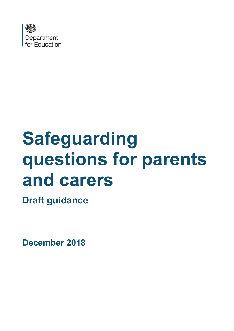

# **Safeguarding questions for parents and carers**

**Draft guidance**

**December 2018**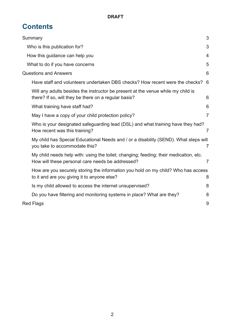# **Contents**

| 3                                                                                                 |
|---------------------------------------------------------------------------------------------------|
| 3                                                                                                 |
| $\overline{4}$                                                                                    |
| 5                                                                                                 |
| 6                                                                                                 |
| 6                                                                                                 |
| 6                                                                                                 |
| 6                                                                                                 |
| $\overline{7}$                                                                                    |
| Who is your designated safeguarding lead (DSL) and what training have they had?<br>$\overline{7}$ |
| My child has Special Educational Needs and / or a disability (SEND). What steps will<br>7         |
| $\overline{7}$                                                                                    |
| How are you securely storing the information you hold on my child? Who has access<br>8            |
| 8                                                                                                 |
| 8                                                                                                 |
| 9                                                                                                 |
|                                                                                                   |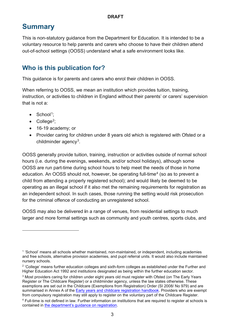# <span id="page-2-0"></span>**Summary**

This is non-statutory guidance from the Department for Education. It is intended to be a voluntary resource to help parents and carers who choose to have their children attend out-of-school settings (OOSS) understand what a safe environment looks like.

## <span id="page-2-1"></span>**Who is this publication for?**

This guidance is for parents and carers who enrol their children in OOSS.

When referring to OOSS, we mean an institution which provides tuition, training, instruction, or activities to children in England without their parents' or carers' supervision that is not a:

- $\bullet$  School<sup>[1](#page-2-2)</sup>:
- $\bullet$  College<sup>[2](#page-2-3)</sup>;

 $\overline{a}$ 

- 16-19 academy; or
- Provider caring for children under 8 years old which is registered with Ofsted or a childminder agency<sup>[3](#page-2-4)</sup>.

OOSS generally provide tuition, training, instruction or activities outside of normal school hours (i.e. during the evenings, weekends, and/or school holidays), although some OOSS are run part-time during school hours to help meet the needs of those in home education. An OOSS should not, however, be operating full-time<sup>[4](#page-2-5)</sup> (so as to prevent a child from attending a properly registered school); and would likely be deemed to be operating as an illegal school if it also met the remaining requirements for registration as an independent school. In such cases, those running the setting would risk prosecution for the criminal offence of conducting an unregistered school.

OOSS may also be delivered **i**n a range of venues, from residential settings to much larger and more formal settings such as community and youth centres, sports clubs, and

<span id="page-2-2"></span><sup>1</sup> 'School' means all schools whether maintained, non-maintained, or independent, including academies and free schools, alternative provision academies, and pupil referral units. It would also include maintained nursery schools.

<span id="page-2-3"></span><sup>&</sup>lt;sup>2</sup> 'College' means further education colleges and sixth-form colleges as established under the Further and Higher Education Act 1992 and institutions designated as being within the further education sector.

<span id="page-2-4"></span><sup>&</sup>lt;sup>3</sup> Most providers caring for children under eight years old must register with Ofsted (on The Early Years Register or The Childcare Register) or a childminder agency, unless the law states otherwise. These exemptions are set out in the Childcare (Exemptions from Registration) Order (SI 2008/ No 979) and are summarised in Annex A of the [Early years and childcare registration handbook.](https://assets.publishing.service.gov.uk/government/uploads/system/uploads/attachment_data/file/650103/EY_and_childcare_reg_handbook.pdf) Providers who are exempt from compulsory registration may still apply to register on the voluntary part of the Childcare Register.

<span id="page-2-5"></span><sup>4</sup> Full-time is not defined in law. Further information on institutions that are required to register at schools is contained in [the department's guidance on registration.](https://www.gov.uk/government/publications/independent-school-registration)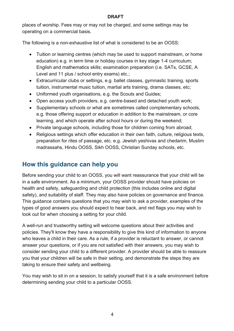#### **DRAFT**

places of worship. Fees may or may not be charged, and some settings may be operating on a commercial basis.

The following is a non-exhaustive list of what is considered to be an OOSS:

- Tuition or learning centres (which may be used to support mainstream, or home education) e.g. in term time or holiday courses in key stage 1-4 curriculum; English and mathematics skills; examination preparation (i.e. SATs, GCSE, A Level and 11 plus / school entry exams) etc.;
- Extracurricular clubs or settings, e.g. ballet classes, gymnastic training, sports tuition, instrumental music tuition, martial arts training, drama classes, etc;
- Uniformed youth organisations, e.g. the Scouts and Guides;
- Open access youth providers, e.g. centre-based and detached youth work;
- Supplementary schools or what are sometimes called complementary schools, e.g. those offering support or education in addition to the mainstream, or core learning, and which operate after school hours or during the weekend;
- Private language schools, including those for children coming from abroad;
- Religious settings which offer education in their own faith, culture, religious texts, preparation for rites of passage, etc. e.g. Jewish yeshivas and chedarim, Muslim madrassahs, Hindu OOSS, Sikh OOSS, Christian Sunday schools, etc.

## <span id="page-3-0"></span>**How this guidance can help you**

Before sending your child to an OOSS, you will want reassurance that your child will be in a safe environment. As a minimum, your OOSS provider should have policies on health and safety, safeguarding and child protection (this includes online and digital safety), and suitability of staff. They may also have policies on governance and finance. This guidance contains questions that you may wish to ask a provider, examples of the types of good answers you should expect to hear back, and red flags you may wish to look out for when choosing a setting for your child.

A well-run and trustworthy setting will welcome questions about their activities and policies. They'll know they have a responsibility to give this kind of information to anyone who leaves a child in their care. As a rule, if a provider is reluctant to answer, or cannot answer your questions, or if you are not satisfied with their answers, you may wish to consider sending your child to a different provider. A provider should be able to reassure you that your children will be safe in their setting, and demonstrate the steps they are taking to ensure their safety and wellbeing.

You may wish to sit in on a session, to satisfy yourself that it is a safe environment before determining sending your child to a particular OOSS.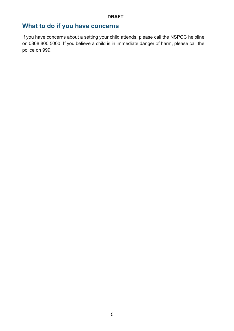# <span id="page-4-0"></span>**What to do if you have concerns**

If you have concerns about a setting your child attends, please call the NSPCC helpline on [0808 800 5000.](tel:08088005000) If you believe a child is in immediate danger of harm, please call the police on 999.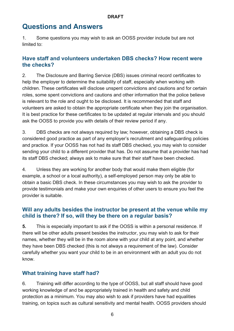# <span id="page-5-0"></span>**Questions and Answers**

1. Some questions you may wish to ask an OOSS provider include but are not limited to:

#### <span id="page-5-1"></span>**Have staff and volunteers undertaken DBS checks? How recent were the checks?**

2. The Disclosure and Barring Service (DBS) issues criminal record certificates to help the employer to determine the suitability of staff, especially when working with children. These certificates will disclose unspent convictions and cautions and for certain roles, some spent convictions and cautions and other information that the police believe is relevant to the role and ought to be disclosed. It is recommended that staff and volunteers are asked to obtain the appropriate certificate when they join the organisation. It is best practice for these certificates to be updated at regular intervals and you should ask the OOSS to provide you with details of their review period if any.

3. DBS checks are not always required by law; however, obtaining a DBS check is considered good practice as part of any employer's recruitment and safeguarding policies and practice. If your OOSS has not had its staff DBS checked, you may wish to consider sending your child to a different provider that has. Do not assume that a provider has had its staff DBS checked; always ask to make sure that their staff have been checked.

4. Unless they are working for another body that would make them eligible (for example, a school or a local authority), a self-employed person may only be able to obtain a basic DBS check. In these circumstances you may wish to ask the provider to provide testimonials and make your own enquiries of other users to ensure you feel the provider is suitable.

### <span id="page-5-2"></span>**Will any adults besides the instructor be present at the venue while my child is there? If so, will they be there on a regular basis?**

**5.** This is especially important to ask if the OOSS is within a personal residence. If there will be other adults present besides the instructor, you may wish to ask for their names, whether they will be in the room alone with your child at any point, and whether they have been DBS checked (this is not always a requirement of the law). Consider carefully whether you want your child to be in an environment with an adult you do not know.

### <span id="page-5-3"></span>**What training have staff had?**

6. Training will differ according to the type of OOSS, but all staff should have good working knowledge of and be appropriately trained in health and safety and child protection as a minimum. You may also wish to ask if providers have had equalities training, on topics such as cultural sensitivity and mental health. OOSS providers should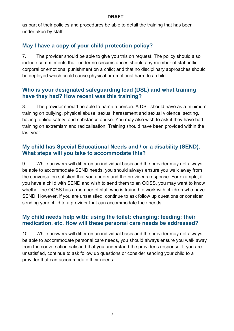#### **DRAFT**

as part of their policies and procedures be able to detail the training that has been undertaken by staff.

## <span id="page-6-0"></span>**May I have a copy of your child protection policy?**

7. The provider should be able to give you this on request. The policy should also include commitments that: under no circumstances should any member of staff inflict corporal or emotional punishment on a child; and that no disciplinary approaches should be deployed which could cause physical or emotional harm to a child.

#### <span id="page-6-1"></span>**Who is your designated safeguarding lead (DSL) and what training have they had? How recent was this training?**

8. The provider should be able to name a person. A DSL should have as a minimum training on bullying, physical abuse, sexual harassment and sexual violence, sexting, hazing, online safety, and substance abuse. You may also wish to ask if they have had training on extremism and radicalisation. Training should have been provided within the last year.

#### <span id="page-6-2"></span>**My child has Special Educational Needs and / or a disability (SEND). What steps will you take to accommodate this?**

9. While answers will differ on an individual basis and the provider may not always be able to accommodate SEND needs, you should always ensure you walk away from the conversation satisfied that you understand the provider's response. For example, if you have a child with SEND and wish to send them to an OOSS, you may want to know whether the OOSS has a member of staff who is trained to work with children who have SEND. However, if you are unsatisfied, continue to ask follow up questions or consider sending your child to a provider that can accommodate their needs.

### <span id="page-6-3"></span>**My child needs help with: using the toilet; changing; feeding; their medication, etc. How will these personal care needs be addressed?**

10. While answers will differ on an individual basis and the provider may not always be able to accommodate personal care needs, you should always ensure you walk away from the conversation satisfied that you understand the provider's response. If you are unsatisfied, continue to ask follow up questions or consider sending your child to a provider that can accommodate their needs.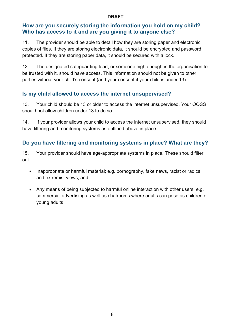#### **DRAFT**

#### <span id="page-7-0"></span>**How are you securely storing the information you hold on my child? Who has access to it and are you giving it to anyone else?**

11. The provider should be able to detail how they are storing paper and electronic copies of files. If they are storing electronic data, it should be encrypted and password protected. If they are storing paper data, it should be secured with a lock.

12. The designated safeguarding lead, or someone high enough in the organisation to be trusted with it, should have access. This information should not be given to other parties without your child's consent (and your consent if your child is under 13).

## <span id="page-7-1"></span>**Is my child allowed to access the internet unsupervised?**

13. Your child should be 13 or older to access the internet unsupervised. Your OOSS should not allow children under 13 to do so.

14. If your provider allows your child to access the internet unsupervised, they should have filtering and monitoring systems as outlined above in place.

## <span id="page-7-2"></span>**Do you have filtering and monitoring systems in place? What are they?**

15. Your provider should have age-appropriate systems in place. These should filter out:

- Inappropriate or harmful material; e.g. pornography, fake news, racist or radical and extremist views; and
- Any means of being subjected to harmful online interaction with other users; e.g. commercial advertising as well as chatrooms where adults can pose as children or young adults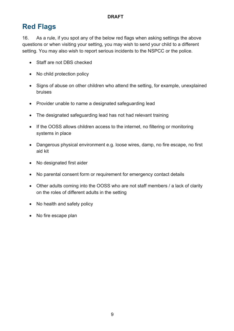# <span id="page-8-0"></span>**Red Flags**

16. As a rule, if you spot any of the below red flags when asking settings the above questions or when visiting your setting, you may wish to send your child to a different setting. You may also wish to report serious incidents to the NSPCC or the police.

- Staff are not DBS checked
- No child protection policy
- Signs of abuse on other children who attend the setting, for example, unexplained bruises
- Provider unable to name a designated safeguarding lead
- The designated safeguarding lead has not had relevant training
- If the OOSS allows children access to the internet, no filtering or monitoring systems in place
- Dangerous physical environment e.g. loose wires, damp, no fire escape, no first aid kit
- No designated first aider
- No parental consent form or requirement for emergency contact details
- Other adults coming into the OOSS who are not staff members / a lack of clarity on the roles of different adults in the setting
- No health and safety policy
- No fire escape plan